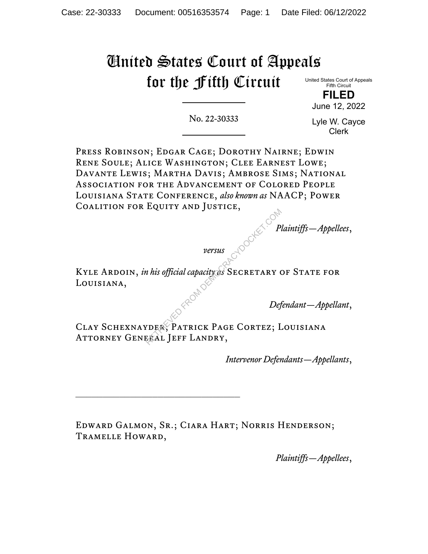# United States Court of Appeals for the Fifth Circuit

United States Court of Appeals Fifth Circuit

> **FILED** June 12, 2022

No. 22-30333

Lyle W. Cayce Clerk

Press Robinson; Edgar Cage; Dorothy Nairne; Edwin Rene Soule; Alice Washington; Clee Earnest Lowe; Davante Lewis; Martha Davis; Ambrose Sims; National Association for the Advancement of Colored People Louisiana State Conference, *also known as* NAACP; Power Coalition for Equity and Justice,

*Plaintiffs—Appellees*,

*versus*

KYLE ARDOIN, *in his official capacity as* SECRETARY OF STATE FOR Louisiana,

*Defendant—Appellant*,

Clay Schexnayder; Patrick Page Cortez; Louisiana ATTORNEY GENERAL JEFF LANDRY, Property of this official capacity of SECRETARY COMPANY<br>
The Magnety of SECRETARY CORD Def<br>
THER, PATRICK PAGE CORTEZ; I

*Intervenor Defendants—Appellants*,

Edward Galmon, Sr.; Ciara Hart; Norris Henderson; Tramelle Howard,

*Plaintiffs—Appellees*,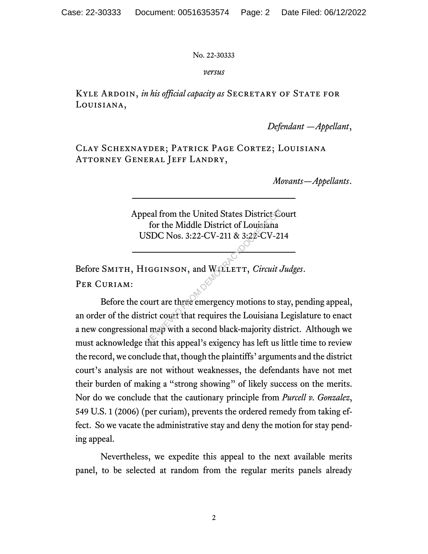#### *versus*

KYLE ARDOIN, *in his official capacity as* SECRETARY OF STATE FOR Louisiana,

*Defendant —Appellant*,

Clay Schexnayder; Patrick Page Cortez; Louisiana Attorney General Jeff Landry,

*Movants—Appellants*.

Appeal from the United States District Court for the Middle District of Louisiana USDC Nos. 3:22-CV-211 & 3:22-CV-214

Before SMITH, HIGGINSON, and WILLETT, *Circuit Judges*. PER CURIAM:

Before the court are three emergency motions to stay, pending appeal, an order of the district court that requires the Louisiana Legislature to enact a new congressional map with a second black-majority district. Although we must acknowledge that this appeal's exigency has left us little time to review the record, we conclude that, though the plaintiffs' arguments and the district court's analysis are not without weaknesses, the defendants have not met their burden of making a "strong showing" of likely success on the merits. Nor do we conclude that the cautionary principle from *Purcell v. Gonzalez*, 549 U.S. 1 (2006) (per curiam), prevents the ordered remedy from taking effect. So we vacate the administrative stay and deny the motion for stay pending appeal. Solender Contract States District Contract for the Middle District of Louisiana<br>
SDC Nos. 3:22-CV-211 & 3:22-CV-21<br>
IGGINSON, and WELLETT, *Circuit*<br>
Solution Counter Counter Counter Counter<br>
Solution Counter Counter that

Nevertheless, we expedite this appeal to the next available merits panel, to be selected at random from the regular merits panels already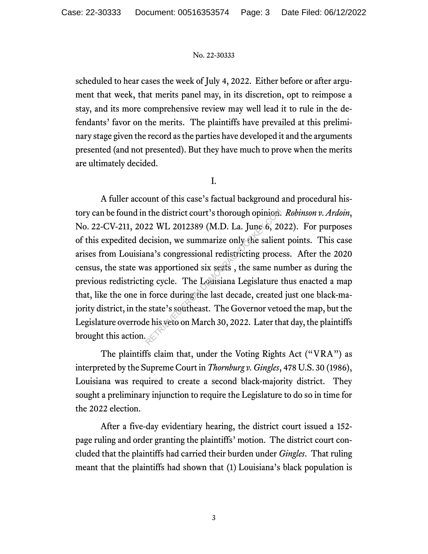scheduled to hear cases the week of July 4, 2022. Either before or after argument that week, that merits panel may, in its discretion, opt to reimpose a stay, and its more comprehensive review may well lead it to rule in the defendants' favor on the merits. The plaintiffs have prevailed at this preliminary stage given the record as the parties have developed it and the arguments presented (and not presented). But they have much to prove when the merits are ultimately decided.

I.

A fuller account of this case's factual background and procedural history can be found in the district court's thorough opinion. *Robinson v. Ardoin*, No. 22-CV-211, 2022 WL 2012389 (M.D. La. June 6, 2022). For purposes of this expedited decision, we summarize only the salient points. This case arises from Louisiana's congressional redistricting process. After the 2020 census, the state was apportioned six seats , the same number as during the previous redistricting cycle. The Louisiana Legislature thus enacted a map that, like the one in force during the last decade, created just one black-majority district, in the state's southeast. The Governor vetoed the map, but the Legislature overrode his veto on March 30, 2022. Later that day, the plaintiffs brought this action. The district court's thorough opinion.<br>
22 WL 2012389 (M.D. La. June 6, 20<br>
ecision, we summarize only the salien<br>
na's congressional redistricting proce<br>
as apportioned six seats, the same nu<br>
ng cycle. The Louisiana Legi

The plaintiffs claim that, under the Voting Rights Act ("VRA") as interpreted by the Supreme Court in *Thornburg v. Gingles*, 478 U.S. 30 (1986), Louisiana was required to create a second black-majority district. They sought a preliminary injunction to require the Legislature to do so in time for the 2022 election.

After a five-day evidentiary hearing, the district court issued a 152 page ruling and order granting the plaintiffs' motion. The district court concluded that the plaintiffs had carried their burden under *Gingles*. That ruling meant that the plaintiffs had shown that (1) Louisiana's black population is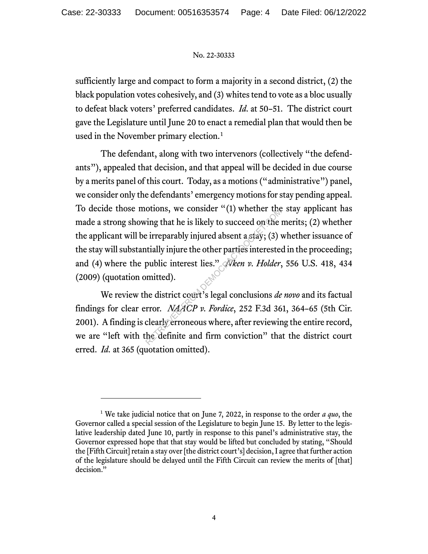sufficiently large and compact to form a majority in a second district, (2) the black population votes cohesively, and (3) whites tend to vote as a bloc usually to defeat black voters' preferred candidates. *Id.* at 50–51. The district court gave the Legislature until June 20 to enact a remedial plan that would then be used in the November primary election.<sup>1</sup>

The defendant, along with two intervenors (collectively "the defendants"), appealed that decision, and that appeal will be decided in due course by a merits panel of this court. Today, as a motions ("administrative") panel, we consider only the defendants' emergency motions for stay pending appeal. To decide those motions, we consider "(1) whether the stay applicant has made a strong showing that he is likely to succeed on the merits;  $(2)$  whether the applicant will be irreparably injured absent a stay; (3) whether issuance of the stay will substantially injure the other parties interested in the proceeding; and (4) where the public interest lies." *Nken v. Holder*, 556 U.S. 418, 434 (2009) (quotation omitted). botons, we consider (1) whether the<br>
ring that he is likely to succeed on the<br>
e irreparably injured absent a stay; (3)<br>
intially injure the other parties interested<br>
public interest lies." Neen v. Holder,<br>
mitted).<br>
he d

We review the district court's legal conclusions *de novo* and its factual findings for clear error. *NAACP v. Fordice*, 252 F.3d 361, 364–65 (5th Cir. 2001). A finding is clearly erroneous where, after reviewing the entire record, we are "left with the definite and firm conviction" that the district court erred. *Id.* at 365 (quotation omitted).

<sup>1</sup> We take judicial notice that on June 7, 2022, in response to the order *a quo*, the Governor called a special session of the Legislature to begin June 15. By letter to the legislative leadership dated June 10, partly in response to this panel's administrative stay, the Governor expressed hope that that stay would be lifted but concluded by stating, "Should the [Fifth Circuit] retain a stay over [the district court's] decision, I agree that further action of the legislature should be delayed until the Fifth Circuit can review the merits of [that] decision."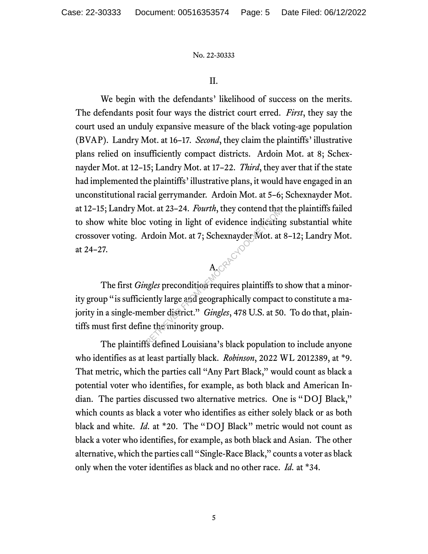#### II.

We begin with the defendants' likelihood of success on the merits. The defendants posit four ways the district court erred. *First*, they say the court used an unduly expansive measure of the black voting-age population (BVAP). Landry Mot. at 16–17. *Second*, they claim the plaintiffs' illustrative plans relied on insufficiently compact districts. Ardoin Mot. at 8; Schexnayder Mot. at 12–15; Landry Mot. at 17–22. *Third*, they aver that if the state had implemented the plaintiffs' illustrative plans, it would have engaged in an unconstitutional racial gerrymander. Ardoin Mot. at 5–6; Schexnayder Mot. at 12–15; Landry Mot. at 23–24. *Fourth*, they contend that the plaintiffs failed to show white bloc voting in light of evidence indicating substantial white crossover voting. Ardoin Mot. at 7; Schexnayder Mot. at 8–12; Landry Mot. at 24–27. McQuecyo

The first *Gingles* precondition requires plaintiffs to show that a minority group "is sufficiently large and geographically compact to constitute a majority in a single-member district." *Gingles*, 478 U.S. at 50. To do that, plaintiffs must first define the minority group. ort. at 25-24. *Fourth*, they contend that<br>
it voting in light of evidence indicatin<br>
ardoin Mot. at 7; Schexnayder Mot. at<br>
A<br> *Reflex* precondition requires plaintiffs to<br>
ently large and geographically compact<br>
ently la

The plaintiffs defined Louisiana's black population to include anyone who identifies as at least partially black. *Robinson*, 2022 WL 2012389, at \*9. That metric, which the parties call "Any Part Black," would count as black a potential voter who identifies, for example, as both black and American Indian. The parties discussed two alternative metrics. One is "DOJ Black," which counts as black a voter who identifies as either solely black or as both black and white. *Id.* at \*20. The "DOJ Black" metric would not count as black a voter who identifies, for example, as both black and Asian. The other alternative, which the parties call "Single-Race Black," counts a voter as black only when the voter identifies as black and no other race. *Id.* at \*34.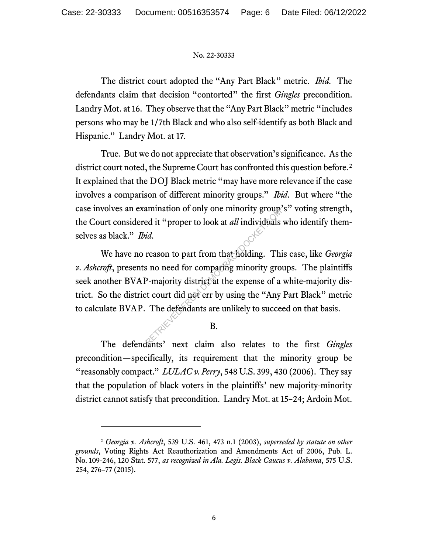The district court adopted the "Any Part Black" metric. *Ibid.* The defendants claim that decision "contorted" the first *Gingles* precondition. Landry Mot. at 16. They observe that the "Any Part Black" metric "includes persons who may be 1/7th Black and who also self-identify as both Black and Hispanic." Landry Mot. at 17.

True. But we do not appreciate that observation's significance. As the district court noted, the Supreme Court has confronted this question before.<sup>2</sup> It explained that the DOJ Black metric "may have more relevance if the case involves a comparison of different minority groups." *Ibid.* But where "the case involves an examination of only one minority group's" voting strength, the Court considered it "proper to look at *all* individuals who identify themselves as black." *Ibid.*

We have no reason to part from that holding. This case, like *Georgia v. Ashcroft*, presents no need for comparing minority groups. The plaintiffs seek another BVAP-majority district at the expense of a white-majority district. So the district court did not err by using the "Any Part Black" metric to calculate BVAP. The defendants are unlikely to succeed on that basis. animation of only one inhority group.<br>
Ed it "proper to look at *all* individuals<br>
id.<br>
reason to part from that holding. This<br>
is no need for compacing minority gro<br>
P-majority district at the expense of a<br>
ext court did

### B.

The defendants' next claim also relates to the first *Gingles* precondition—specifically, its requirement that the minority group be "reasonably compact." *LULAC v. Perry*, 548 U.S. 399, 430 (2006). They say that the population of black voters in the plaintiffs' new majority-minority district cannot satisfy that precondition. Landry Mot. at 15–24; Ardoin Mot.

<sup>2</sup> *Georgia v. Ashcroft*, 539 U.S. 461, 473 n.1 (2003), *superseded by statute on other grounds*, Voting Rights Act Reauthorization and Amendments Act of 2006, Pub. L. No. 109-246, 120 Stat. 577, *as recognized in Ala. Legis. Black Caucus v. Alabama*, 575 U.S. 254, 276–77 (2015).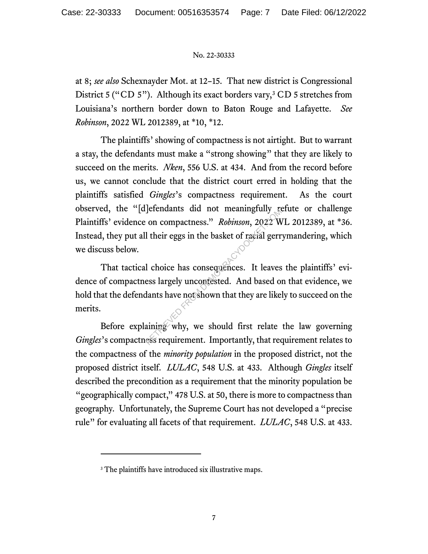at 8; *see also* Schexnayder Mot. at 12–15. That new district is Congressional District 5 ("CD 5"). Although its exact borders vary, ${}^{3}$  CD 5 stretches from Louisiana's northern border down to Baton Rouge and Lafayette. *See Robinson*, 2022 WL 2012389, at \*10, \*12.

The plaintiffs' showing of compactness is not airtight. But to warrant a stay, the defendants must make a "strong showing" that they are likely to succeed on the merits. *Nken*, 556 U.S. at 434. And from the record before us, we cannot conclude that the district court erred in holding that the plaintiffs satisfied *Gingles*'s compactness requirement. As the court observed, the "[d]efendants did not meaningfully refute or challenge Plaintiffs' evidence on compactness." *Robinson*, 2022 WL 2012389, at \*36. Instead, they put all their eggs in the basket of racial gerrymandering, which we discuss below.

That tactical choice has consequences. It leaves the plaintiffs' evidence of compactness largely uncontested. And based on that evidence, we hold that the defendants have not shown that they are likely to succeed on the merits. The Compactness." Robinson, 2022 W<br>
1 their eggs in the basket of racial gerr<br>
1 choice has consequences. It leaves<br>
ess largely uncontested. And based of<br>
1 doice has consequences. It leaves<br>
ess largely uncontested. And

Before explaining why, we should first relate the law governing *Gingles*'s compactness requirement. Importantly, that requirement relates to the compactness of the *minority population* in the proposed district, not the proposed district itself. *LULAC*, 548 U.S. at 433. Although *Gingles* itself described the precondition as a requirement that the minority population be "geographically compact," 478 U.S. at 50, there is more to compactness than geography. Unfortunately, the Supreme Court has not developed a "precise rule" for evaluating all facets of that requirement. *LULAC*, 548 U.S. at 433.

<sup>&</sup>lt;sup>3</sup> The plaintiffs have introduced six illustrative maps.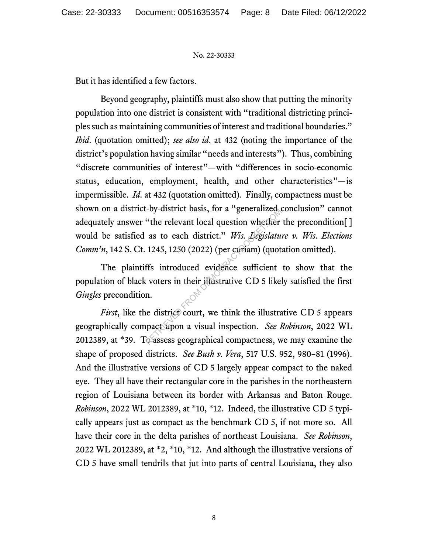But it has identified a few factors.

Beyond geography, plaintiffs must also show that putting the minority population into one district is consistent with "traditional districting principles such as maintaining communities of interest and traditional boundaries." *Ibid*. (quotation omitted); *see also id*. at 432 (noting the importance of the district's population having similar "needs and interests"). Thus, combining "discrete communities of interest"—with "differences in socio-economic status, education, employment, health, and other characteristics"—is impermissible. *Id.* at 432 (quotation omitted). Finally, compactness must be shown on a district-by-district basis, for a "generalized conclusion" cannot adequately answer "the relevant local question whether the precondition[ ] would be satisfied as to each district." *Wis. Legislature v. Wis. Elections Comm'n*, 142 S. Ct. 1245, 1250 (2022) (per curiam) (quotation omitted). -oy-unstrict basis, for a generalized of<br>"the relevant local question whether<br>as to each district." Wis. Legislatu<br>1245, 1250 (2022) (per curiam) (quot<br>ffs introduced evidence sufficient<br>covers in their illustrative CD 5

The plaintiffs introduced evidence sufficient to show that the population of black voters in their illustrative CD 5 likely satisfied the first *Gingles* precondition.

*First*, like the district court, we think the illustrative CD 5 appears geographically compact upon a visual inspection. *See Robinson*, 2022 WL 2012389, at \*39. To assess geographical compactness, we may examine the shape of proposed districts. *See Bush v. Vera*, 517 U.S. 952, 980–81 (1996). And the illustrative versions of CD 5 largely appear compact to the naked eye. They all have their rectangular core in the parishes in the northeastern region of Louisiana between its border with Arkansas and Baton Rouge. *Robinson*, 2022 WL 2012389, at \*10, \*12. Indeed, the illustrative CD 5 typically appears just as compact as the benchmark CD 5, if not more so. All have their core in the delta parishes of northeast Louisiana. *See Robinson*, 2022 WL 2012389, at \*2, \*10, \*12. And although the illustrative versions of CD 5 have small tendrils that jut into parts of central Louisiana, they also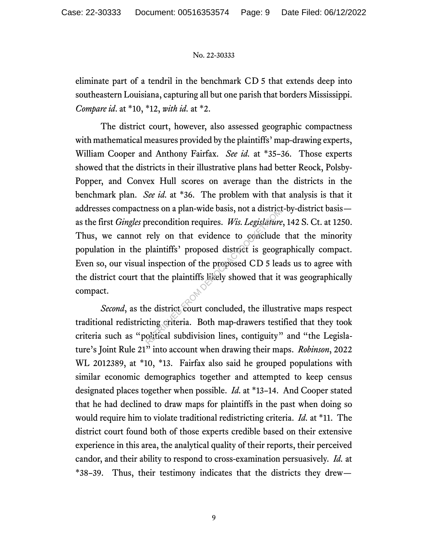eliminate part of a tendril in the benchmark CD 5 that extends deep into southeastern Louisiana, capturing all but one parish that borders Mississippi. *Compare id*. at \*10, \*12, *with id.* at \*2.

The district court, however, also assessed geographic compactness with mathematical measures provided by the plaintiffs' map-drawing experts, William Cooper and Anthony Fairfax. *See id.* at \*35–36. Those experts showed that the districts in their illustrative plans had better Reock, Polsby-Popper, and Convex Hull scores on average than the districts in the benchmark plan. *See id.* at \*36.The problem with that analysis is that it addresses compactness on a plan-wide basis, not a district-by-district basis as the first *Gingles* precondition requires. *Wis. Legislature*, 142 S. Ct. at 1250. Thus, we cannot rely on that evidence to conclude that the minority population in the plaintiffs' proposed district is geographically compact. Even so, our visual inspection of the proposed CD 5 leads us to agree with the district court that the plaintiffs likely showed that it was geographically compact. recondition requires. Wis. Legislature<br>precondition requires. Wis. Legislature<br>rely on that evidence to conclude<br>plaintiffs' proposed district is geogr<br>inspection of the proposed CD 5 lea<br>nat the plaintiffs likely showed t

*Second*, as the district court concluded, the illustrative maps respect traditional redistricting criteria. Both map-drawers testified that they took criteria such as "political subdivision lines, contiguity" and "the Legislature's Joint Rule 21" into account when drawing their maps. *Robinson*, 2022 WL 2012389, at \*10, \*13. Fairfax also said he grouped populations with similar economic demographics together and attempted to keep census designated places together when possible. *Id.* at \*13–14. And Cooper stated that he had declined to draw maps for plaintiffs in the past when doing so would require him to violate traditional redistricting criteria. *Id.* at \*11. The district court found both of those experts credible based on their extensive experience in this area, the analytical quality of their reports, their perceived candor, and their ability to respond to cross-examination persuasively. *Id.* at \*38–39. Thus, their testimony indicates that the districts they drew—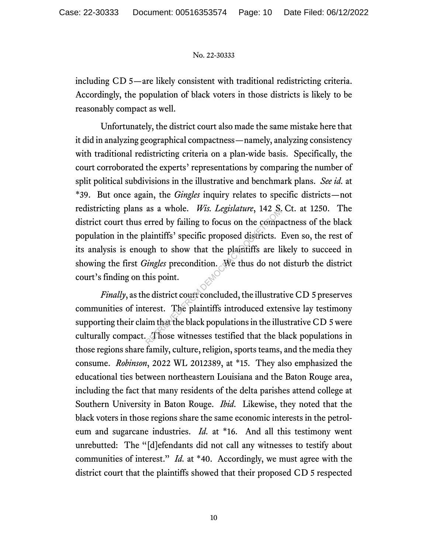including CD 5—are likely consistent with traditional redistricting criteria. Accordingly, the population of black voters in those districts is likely to be reasonably compact as well.

Unfortunately, the district court also made the same mistake here that it did in analyzing geographical compactness—namely, analyzing consistency with traditional redistricting criteria on a plan-wide basis. Specifically, the court corroborated the experts' representations by comparing the number of split political subdivisions in the illustrative and benchmark plans. *See id.* at \*39. But once again, the *Gingles* inquiry relates to specific districts—not redistricting plans as a whole. *Wis. Legislature*, 142 S. Ct. at 1250. The district court thus erred by failing to focus on the compactness of the black population in the plaintiffs' specific proposed districts. Even so, the rest of its analysis is enough to show that the plaintiffs are likely to succeed in showing the first *Gingles* precondition. We thus do not disturb the district court's finding on this point. as a whole. *Wis. Legislature*, 142 s.<br>erred by failing to focus on the compar<br>laintiffs' specific proposed districts.<br>light to show that the plaintiffs are li<br>*ingles* precondition. We thus do not<br>his point.<br>e district co

*Finally*, as the district court concluded, the illustrative CD 5 preserves communities of interest. The plaintiffs introduced extensive lay testimony supporting their claim that the black populations in the illustrative CD 5 were culturally compact. Those witnesses testified that the black populations in those regions share family, culture, religion, sports teams, and the media they consume. *Robinson*, 2022 WL 2012389, at \*15. They also emphasized the educational ties between northeastern Louisiana and the Baton Rouge area, including the fact that many residents of the delta parishes attend college at Southern University in Baton Rouge. *Ibid.* Likewise, they noted that the black voters in those regions share the same economic interests in the petroleum and sugarcane industries. *Id.* at \*16. And all this testimony went unrebutted: The "[d]efendants did not call any witnesses to testify about communities of interest." *Id.* at \*40. Accordingly, we must agree with the district court that the plaintiffs showed that their proposed CD 5 respected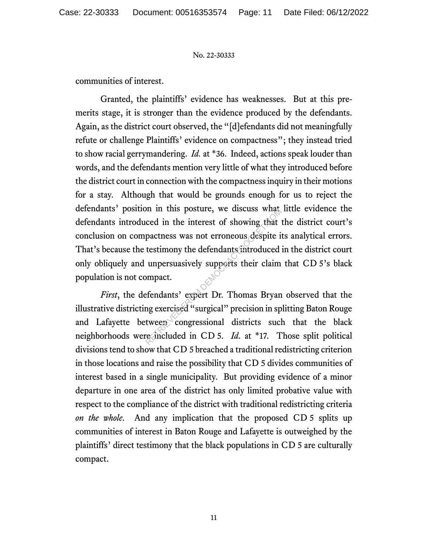communities of interest.

Granted, the plaintiffs' evidence has weaknesses. But at this premerits stage, it is stronger than the evidence produced by the defendants. Again, as the district court observed, the "[d]efendants did not meaningfully refute or challenge Plaintiffs' evidence on compactness"; they instead tried to show racial gerrymandering. *Id.* at \*36. Indeed, actions speak louder than words, and the defendants mention very little of what they introduced before the district court in connection with the compactness inquiry in their motions for a stay. Although that would be grounds enough for us to reject the defendants' position in this posture, we discuss what little evidence the defendants introduced in the interest of showing that the district court's conclusion on compactness was not erroneous despite its analytical errors. That's because the testimony the defendants introduced in the district court only obliquely and unpersuasively supports their claim that CD 5's black population is not compact. In this posture, we discuss what<br>ced in the interest of showing that<br>pactness was not erroneous despite if<br>testimony the defendants introduced<br>unpersuasively supports their claim<br>pompact.<br>fendants' expert Dr. Thomas Bryan<br>

*First*, the defendants' expert Dr. Thomas Bryan observed that the illustrative districting exercised "surgical" precision in splitting Baton Rouge and Lafayette between congressional districts such that the black neighborhoods were included in CD 5. *Id.* at \*17. Those split political divisions tend to show that CD 5 breached a traditional redistricting criterion in those locations and raise the possibility that CD 5 divides communities of interest based in a single municipality. But providing evidence of a minor departure in one area of the district has only limited probative value with respect to the compliance of the district with traditional redistricting criteria *on the whole*. And any implication that the proposed CD 5 splits up communities of interest in Baton Rouge and Lafayette is outweighed by the plaintiffs' direct testimony that the black populations in CD 5 are culturally compact.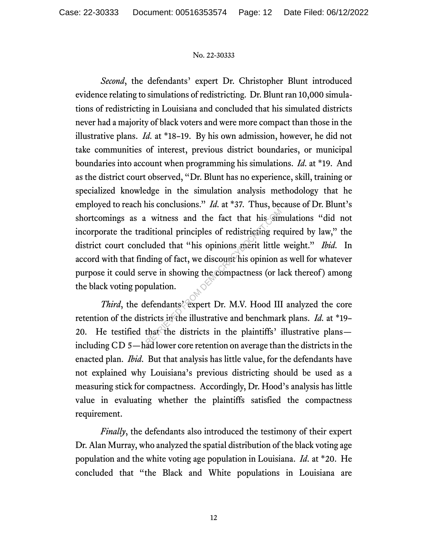*Second*, the defendants' expert Dr. Christopher Blunt introduced evidence relating to simulations of redistricting. Dr. Blunt ran 10,000 simulations of redistricting in Louisiana and concluded that his simulated districts never had a majority of black voters and were more compact than those in the illustrative plans. *Id.* at \*18–19. By his own admission, however, he did not take communities of interest, previous district boundaries, or municipal boundaries into account when programming his simulations. *Id.* at \*19. And as the district court observed, "Dr. Blunt has no experience, skill, training or specialized knowledge in the simulation analysis methodology that he employed to reach his conclusions." *Id.* at \*37. Thus, because of Dr. Blunt's shortcomings as a witness and the fact that his simulations "did not incorporate the traditional principles of redistricting required by law," the district court concluded that "his opinions merit little weight." *Ibid.* In accord with that finding of fact, we discount his opinion as well for whatever purpose it could serve in showing the compactness (or lack thereof ) among the black voting population. witness and the fact that his sind<br>ditional principles of redistricting red<br>luded that "his opinions merit little<br>ding of fact, we discount his opinion a<br>rve in showing the compactness (or la<br>pulation.<br>lefendants' expert D

*Third*, the defendants' expert Dr. M.V. Hood III analyzed the core retention of the districts in the illustrative and benchmark plans. *Id.* at \*19– 20. He testified that the districts in the plaintiffs' illustrative plans including CD 5—had lower core retention on average than the districts in the enacted plan. *Ibid*. But that analysis has little value, for the defendants have not explained why Louisiana's previous districting should be used as a measuring stick for compactness. Accordingly, Dr. Hood's analysis has little value in evaluating whether the plaintiffs satisfied the compactness requirement.

*Finally*, the defendants also introduced the testimony of their expert Dr. Alan Murray, who analyzed the spatial distribution of the black voting age population and the white voting age population in Louisiana. *Id.* at \*20. He concluded that "the Black and White populations in Louisiana are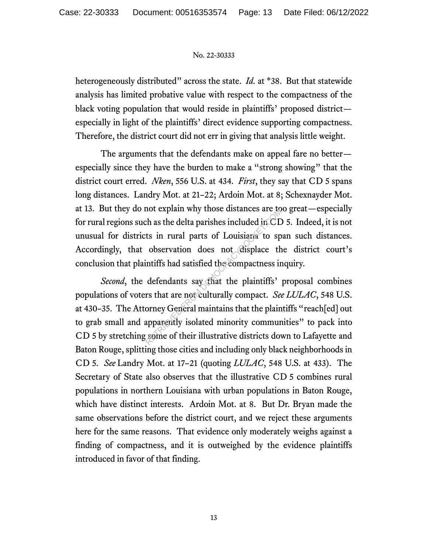heterogeneously distributed" across the state. *Id.* at \*38. But that statewide analysis has limited probative value with respect to the compactness of the black voting population that would reside in plaintiffs' proposed district especially in light of the plaintiffs' direct evidence supporting compactness. Therefore, the district court did not err in giving that analysis little weight.

The arguments that the defendants make on appeal fare no better especially since they have the burden to make a "strong showing" that the district court erred. *Nken*, 556 U.S. at 434. *First*, they say that CD 5 spans long distances. Landry Mot. at 21–22; Ardoin Mot. at 8; Schexnayder Mot. at 13. But they do not explain why those distances are too great—especially for rural regions such as the delta parishes included in  $CD$  5. Indeed, it is not unusual for districts in rural parts of Louisiana to span such distances. Accordingly, that observation does not displace the district court's conclusion that plaintiffs had satisfied the compactness inquiry.

*Second*, the defendants say that the plaintiffs' proposal combines populations of voters that are not culturally compact. *See LULAC*, 548 U.S. at 430–35. The Attorney General maintains that the plaintiffs "reach[ed] out to grab small and apparently isolated minority communities" to pack into CD 5 by stretching some of their illustrative districts down to Lafayette and Baton Rouge, splitting those cities and including only black neighborhoods in CD 5. *See* Landry Mot. at 17–21 (quoting *LULAC*, 548 U.S. at 433). The Secretary of State also observes that the illustrative CD 5 combines rural populations in northern Louisiana with urban populations in Baton Rouge, which have distinct interests. Ardoin Mot. at 8. But Dr. Bryan made the same observations before the district court, and we reject these arguments here for the same reasons. That evidence only moderately weighs against a finding of compactness, and it is outweighed by the evidence plaintiffs introduced in favor of that finding. The as the delta parishes included in CD<br>ts in rural parts of Louisiana to sp<br>observation does not displace the<br>intiffs had satisfied the compactness in<br>defendants say that the plaintiffs'<br>rs that are not culturally compac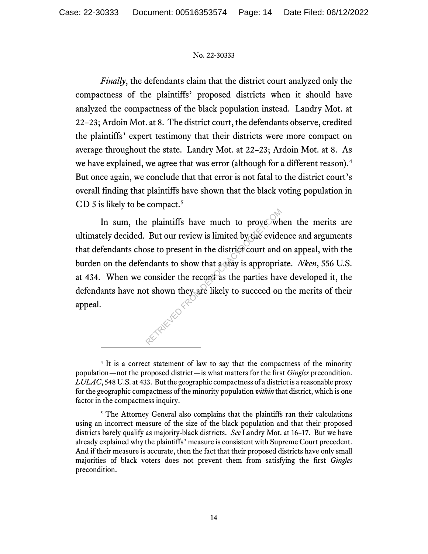*Finally*, the defendants claim that the district court analyzed only the compactness of the plaintiffs' proposed districts when it should have analyzed the compactness of the black population instead. Landry Mot. at 22–23; Ardoin Mot. at 8. The district court, the defendants observe, credited the plaintiffs' expert testimony that their districts were more compact on average throughout the state. Landry Mot. at 22–23; Ardoin Mot. at 8. As we have explained, we agree that was error (although for a different reason).<sup>4</sup> But once again, we conclude that that error is not fatal to the district court's overall finding that plaintiffs have shown that the black voting population in CD 5 is likely to be compact.<sup>5</sup>

In sum, the plaintiffs have much to prove when the merits are ultimately decided. But our review is limited by the evidence and arguments that defendants chose to present in the district court and on appeal, with the burden on the defendants to show that a stay is appropriate. *Nken*, 556 U.S. at 434. When we consider the record as the parties have developed it, the defendants have not shown they are likely to succeed on the merits of their appeal. Per plaintiffs have much to prove wh<br>But our review is limited by the evide<br>ose to present in the district court and<br>ndants to show that a stay is appropria<br>consider the record as the parties have<br>t shown they are likely t

<sup>4</sup> It is a correct statement of law to say that the compactness of the minority population—not the proposed district—is what matters for the first *Gingles* precondition. *LULAC*, 548 U.S. at 433. But the geographic compactness of a district is a reasonable proxy for the geographic compactness of the minority population *within* that district, which is one factor in the compactness inquiry.

<sup>5</sup> The Attorney General also complains that the plaintiffs ran their calculations using an incorrect measure of the size of the black population and that their proposed districts barely qualify as majority-black districts. *See* Landry Mot. at 16–17. But we have already explained why the plaintiffs' measure is consistent with Supreme Court precedent. And if their measure is accurate, then the fact that their proposed districts have only small majorities of black voters does not prevent them from satisfying the first *Gingles* precondition.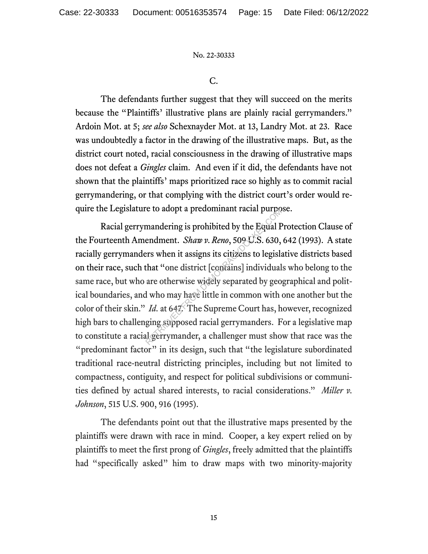C.

The defendants further suggest that they will succeed on the merits because the "Plaintiffs' illustrative plans are plainly racial gerrymanders." Ardoin Mot. at 5; *see also* Schexnayder Mot. at 13, Landry Mot. at 23. Race was undoubtedly a factor in the drawing of the illustrative maps. But, as the district court noted, racial consciousness in the drawing of illustrative maps does not defeat a *Gingles* claim. And even if it did, the defendants have not shown that the plaintiffs' maps prioritized race so highly as to commit racial gerrymandering, or that complying with the district court's order would require the Legislature to adopt a predominant racial purpose.

Racial gerrymandering is prohibited by the Equal Protection Clause of the Fourteenth Amendment. *Shaw v. Reno*, 509 U.S. 630, 642 (1993). A state racially gerrymanders when it assigns its citizens to legislative districts based on their race, such that "one district [contains] individuals who belong to the same race, but who are otherwise widely separated by geographical and political boundaries, and who may have little in common with one another but the color of their skin." *Id.* at 647. The Supreme Court has, however, recognized high bars to challenging supposed racial gerrymanders. For a legislative map to constitute a racial gerrymander, a challenger must show that race was the "predominant factor" in its design, such that "the legislature subordinated traditional race-neutral districting principles, including but not limited to compactness, contiguity, and respect for political subdivisions or communities defined by actual shared interests, to racial considerations." *Miller v. Johnson*, 515 U.S. 900, 916 (1995). e to adopt a predominant ractar purpor<br>mandering is prohibited by the Equal F<br>endment. *Shaw v. Reno*, 509 U.S. 630,<br>rrs when it assigns its citizens to legislar<br>that "one district [contains] individual<br>are otherwise widel

The defendants point out that the illustrative maps presented by the plaintiffs were drawn with race in mind. Cooper, a key expert relied on by plaintiffs to meet the first prong of *Gingles*, freely admitted that the plaintiffs had "specifically asked" him to draw maps with two minority-majority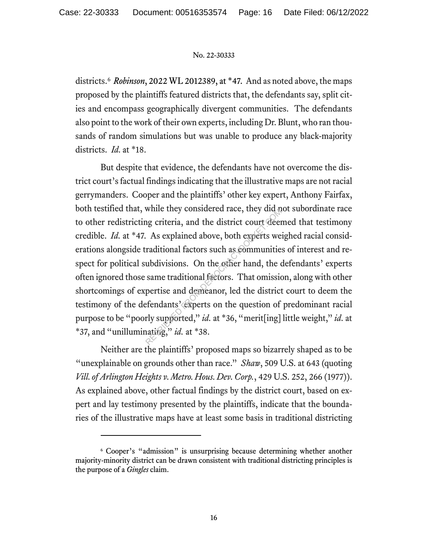districts.6 *Robinson*, 2022 WL 2012389, at \*47. And as noted above, the maps proposed by the plaintiffs featured districts that, the defendants say, split cities and encompass geographically divergent communities. The defendants also point to the work of their own experts, including Dr. Blunt, who ran thousands of random simulations but was unable to produce any black-majority districts. *Id.* at \*18.

But despite that evidence, the defendants have not overcome the district court's factual findings indicating that the illustrative maps are not racial gerrymanders. Cooper and the plaintiffs' other key expert, Anthony Fairfax, both testified that, while they considered race, they did not subordinate race to other redistricting criteria, and the district court deemed that testimony credible. *Id.* at \*47. As explained above, both experts weighed racial considerations alongside traditional factors such as communities of interest and respect for political subdivisions. On the other hand, the defendants' experts often ignored those same traditional factors. That omission, along with other shortcomings of expertise and demeanor, led the district court to deem the testimony of the defendants' experts on the question of predominant racial purpose to be"poorly supported," *id.* at \*36, "merit[ing] little weight," *id.* at \*37, and "unilluminating," *id.* at \*38. while they considered race, they did a<br>ng criteria, and the district court deen<br>As explained above, both experts we<br>raditional factors such as communitie<br>ubdivisions. On the other hand, the communitie<br>same traditional fac

Neither are the plaintiffs' proposed maps so bizarrely shaped as to be "unexplainable on grounds other than race." *Shaw*, 509 U.S. at 643 (quoting *Vill. of Arlington Heights v. Metro. Hous. Dev. Corp.*, 429 U.S. 252, 266 (1977)). As explained above, other factual findings by the district court, based on expert and lay testimony presented by the plaintiffs, indicate that the boundaries of the illustrative maps have at least some basis in traditional districting

<sup>6</sup> Cooper's "admission" is unsurprising because determining whether another majority-minority district can be drawn consistent with traditional districting principles is the purpose of a *Gingles* claim.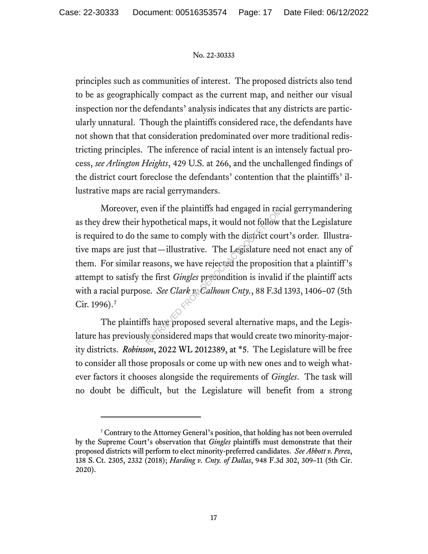principles such as communities of interest. The proposed districts also tend to be as geographically compact as the current map, and neither our visual inspection nor the defendants' analysis indicates that any districts are particularly unnatural. Though the plaintiffs considered race, the defendants have not shown that that consideration predominated over more traditional redistricting principles. The inference of racial intent is an intensely factual process, *see Arlington Heights*, 429 U.S. at 266, and the unchallenged findings of the district court foreclose the defendants' contention that the plaintiffs' illustrative maps are racial gerrymanders.

Moreover, even if the plaintiffs had engaged in racial gerrymandering as they drew their hypothetical maps, it would not follow that the Legislature is required to do the same to comply with the district court's order. Illustrative maps are just that—illustrative. The Legislature need not enact any of them. For similar reasons, we have rejected the proposition that a plaintiff's attempt to satisfy the first *Gingles* precondition is invalid if the plaintiff acts with a racial purpose. *See Clark v. Calhoun Cnty.*, 88 F.3d 1393, 1406–07 (5th Cir. 1996).7 ven it the plannins had engaged in radio<br>sypothetical maps, it would not follow<br>e same to comply with the district courned that<br>mat—illustrative. The Legislature ne<br>easons, we have rejected the propositi<br>he first *Gingles* 

The plaintiffs have proposed several alternative maps, and the Legislature has previously considered maps that would create two minority-majority districts. *Robinson*, 2022 WL 2012389, at \*5. The Legislature will be free to consider all those proposals or come up with new ones and to weigh whatever factors it chooses alongside the requirements of *Gingles*. The task will no doubt be difficult, but the Legislature will benefit from a strong

<sup>&</sup>lt;sup>7</sup> Contrary to the Attorney General's position, that holding has not been overruled by the Supreme Court's observation that *Gingles* plaintiffs must demonstrate that their proposed districts will perform to elect minority-preferred candidates. *See Abbott v. Perez*, 138 S. Ct. 2305, 2332 (2018); *Harding v. Cnty. of Dallas*, 948 F.3d 302, 309–11 (5th Cir. 2020).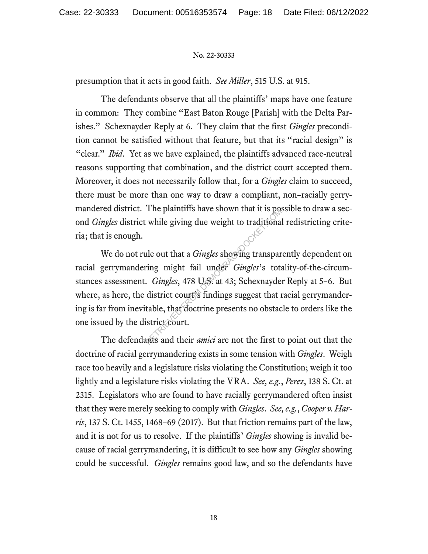presumption that it acts in good faith. *See Miller*, 515 U.S. at 915.

The defendants observe that all the plaintiffs' maps have one feature in common: They combine "East Baton Rouge [Parish] with the Delta Parishes." Schexnayder Reply at 6. They claim that the first *Gingles* precondition cannot be satisfied without that feature, but that its "racial design" is "clear." *Ibid.* Yet as we have explained, the plaintiffs advanced race-neutral reasons supporting that combination, and the district court accepted them. Moreover, it does not necessarily follow that, for a *Gingles* claim to succeed, there must be more than one way to draw a compliant, non–racially gerrymandered district. The plaintiffs have shown that it is possible to draw a second *Gingles* district while giving due weight to traditional redistricting criteria; that is enough.

We do not rule out that a *Gingles* showing transparently dependent on racial gerrymandering might fail under *Gingles*'s totality-of-the-circumstances assessment. *Gingles*, 478 U.S. at 43; Schexnayder Reply at 5–6. But where, as here, the district court's findings suggest that racial gerrymandering is far from inevitable, that doctrine presents no obstacle to orders like the one issued by the district court. The plantins have shown that it is positive in the giving due weight to traditional<br>alle out that a *Gingles* showing transpare ring might fail under *Gingles*'s total.<br>*Gingles*, 478 U.S. at 43; Schexnayde district court'

The defendants and their *amici* are not the first to point out that the doctrine of racial gerrymandering exists in some tension with *Gingles*. Weigh race too heavily and a legislature risks violating the Constitution; weigh it too lightly and a legislature risks violating the VRA. *See, e.g.*, *Perez*, 138 S. Ct. at 2315. Legislators who are found to have racially gerrymandered often insist that they were merely seeking to comply with *Gingles*. *See, e.g.*, *Cooper v. Harris*, 137 S. Ct. 1455, 1468–69 (2017). But that friction remains part of the law, and it is not for us to resolve. If the plaintiffs' *Gingles* showing is invalid because of racial gerrymandering, it is difficult to see how any *Gingles* showing could be successful. *Gingles* remains good law, and so the defendants have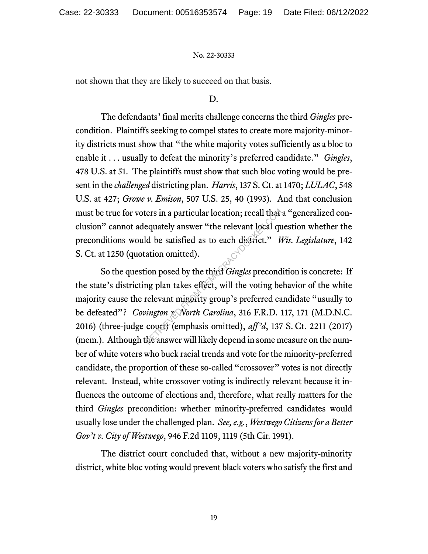not shown that they are likely to succeed on that basis.

#### D.

The defendants' final merits challenge concerns the third *Gingles* precondition. Plaintiffs seeking to compel states to create more majority-minority districts must show that "the white majority votes sufficiently as a bloc to enable it . . . usually to defeat the minority's preferred candidate." *Gingles*, 478 U.S. at 51. The plaintiffs must show that such bloc voting would be present in the *challenged* districting plan. *Harris*, 137 S. Ct. at 1470; *LULAC*, 548 U.S. at 427; *Growe v. Emison*, 507 U.S. 25, 40 (1993). And that conclusion must be true for voters in a particular location; recall that a "generalized conclusion" cannot adequately answer "the relevant local question whether the preconditions would be satisfied as to each district." *Wis. Legislature*, 142 S. Ct. at 1250 (quotation omitted).

So the question posed by the third *Gingles* precondition is concrete: If the state's districting plan takes effect, will the voting behavior of the white majority cause the relevant minority group's preferred candidate "usually to be defeated"? *Covington v. North Carolina*, 316 F.R.D. 117, 171 (M.D.N.C. 2016) (three-judge court) (emphasis omitted), *aff'd*, 137 S. Ct. 2211 (2017) (mem.). Although the answer will likely depend in some measure on the number of white voters who buck racial trends and vote for the minority-preferred candidate, the proportion of these so-called "crossover" votes is not directly relevant. Instead, white crossover voting is indirectly relevant because it influences the outcome of elections and, therefore, what really matters for the third *Gingles* precondition: whether minority-preferred candidates would usually lose under the challenged plan. *See, e.g.*, *Westwego Citizens for a Better Gov't v. City of Westwego*, 946 F.2d 1109, 1119 (5th Cir. 1991). The equately answer "the relevant local quare equately answer "the relevant local quare equately answer" the relevant local district." In ation omitted).<br>
ion posed by the third *Gingles* precond may plan takes effect, wil

The district court concluded that, without a new majority-minority district, white bloc voting would prevent black voters who satisfy the first and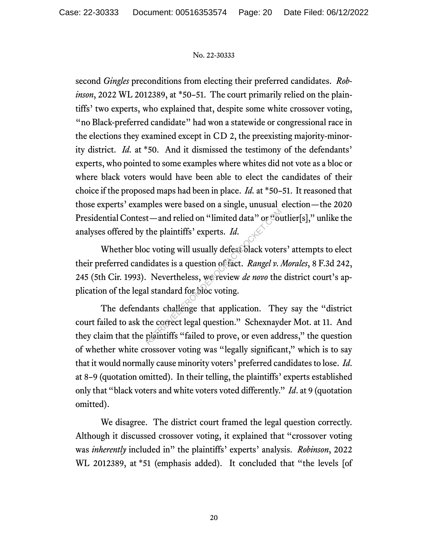second *Gingles* preconditions from electing their preferred candidates. *Robinson*, 2022 WL 2012389, at \*50–51. The court primarily relied on the plaintiffs' two experts, who explained that, despite some white crossover voting, "no Black-preferred candidate" had won a statewide or congressional race in the elections they examined except in CD 2, the preexisting majority-minority district. *Id.* at \*50. And it dismissed the testimony of the defendants' experts, who pointed to some examples where whites did not vote as a bloc or where black voters would have been able to elect the candidates of their choice if the proposed maps had been in place. *Id.* at \*50–51. It reasoned that those experts' examples were based on a single, unusual election—the 2020 Presidential Contest—and relied on "limited data" or "outlier[s]," unlike the analyses offered by the plaintiffs' experts. *Id.*

Whether bloc voting will usually defeat black voters' attempts to elect their preferred candidates is a question of fact. *Rangel v. Morales*, 8 F.3d 242, 245 (5th Cir. 1993). Nevertheless, we review *de novo* the district court's application of the legal standard for bloc voting. The plaintiffs' experts. *Id.*<br>
Composition of the plaintiffs' experts. *Id.*<br>
Composition of the plaintiffs' experts. *Id.*<br>
Revertheless, we review *de novo* the<br>
distandard for bloc voting.<br>
Local standard for bloc voti

The defendants challenge that application. They say the "district court failed to ask the correct legal question." Schexnayder Mot. at 11. And they claim that the plaintiffs "failed to prove, or even address," the question of whether white crossover voting was "legally significant," which is to say that it would normally cause minority voters' preferred candidates to lose. *Id*. at 8–9 (quotation omitted). In their telling, the plaintiffs' experts established only that "black voters and white voters voted differently." *Id*. at 9 (quotation omitted).

We disagree. The district court framed the legal question correctly. Although it discussed crossover voting, it explained that "crossover voting was *inherently* included in" the plaintiffs' experts' analysis. *Robinson*, 2022 WL 2012389, at \*51 (emphasis added). It concluded that "the levels [of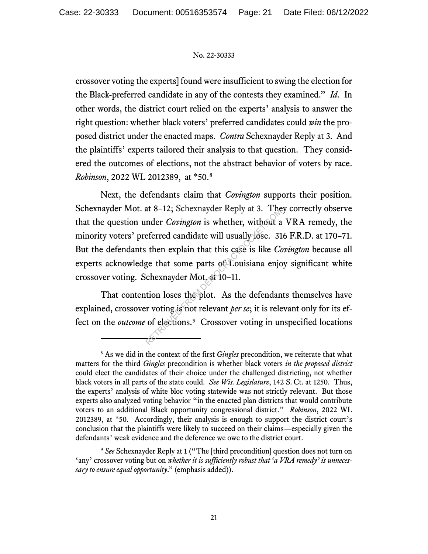crossover voting the experts] found were insufficient to swing the election for the Black-preferred candidate in any of the contests they examined." *Id.* In other words, the district court relied on the experts' analysis to answer the right question: whether black voters' preferred candidates could *win* the proposed district under the enacted maps. *Contra* Schexnayder Reply at 3. And the plaintiffs' experts tailored their analysis to that question. They considered the outcomes of elections, not the abstract behavior of voters by race. *Robinson*, 2022 WL 2012389, at \*50.8

Next, the defendants claim that *Covington* supports their position. Schexnayder Mot. at 8–12; Schexnayder Reply at 3. They correctly observe that the question under *Covington* is whether, without a VRA remedy, the minority voters' preferred candidate will usually lose. 316 F.R.D. at 170-71. But the defendants then explain that this case is like *Covington* because all experts acknowledge that some parts of Louisiana enjoy significant white crossover voting. Schexnayder Mot. at 10–11. at 8-12; Schexhayder Reply at 3. The<br>
mder *Covington* is whether, without a<br>
eferred candidate will usually lose. 31<br>
then explain that this case is like *Co*<br>
ge that some parts of Louisiana enjo<br>
chexnayder Mot. at 10-

That contention loses the plot. As the defendants themselves have explained, crossover voting is not relevant *per se*; it is relevant only for its effect on the *outcome* of elections.<sup>9</sup> Crossover voting in unspecified locations

<sup>8</sup> As we did in the context of the first *Gingles* precondition, we reiterate that what matters for the third *Gingles* precondition is whether black voters *in the proposed district* could elect the candidates of their choice under the challenged districting, not whether black voters in all parts of the state could. *See Wis. Legislature*, 142 S. Ct. at 1250. Thus, the experts' analysis of white bloc voting statewide was not strictly relevant. But those experts also analyzed voting behavior "in the enacted plan districts that would contribute voters to an additional Black opportunity congressional district." *Robinson*, 2022 WL 2012389, at \*50. Accordingly, their analysis is enough to support the district court's conclusion that the plaintiffs were likely to succeed on their claims—especially given the defendants' weak evidence and the deference we owe to the district court.

<sup>9</sup> *See* Schexnayder Reply at 1 ("The [third precondition] question does not turn on ʻany' crossover voting but on *whether it is sufficiently robust that ʻa VRA remedy' is unnecessary to ensure equal opportunity*." (emphasis added)).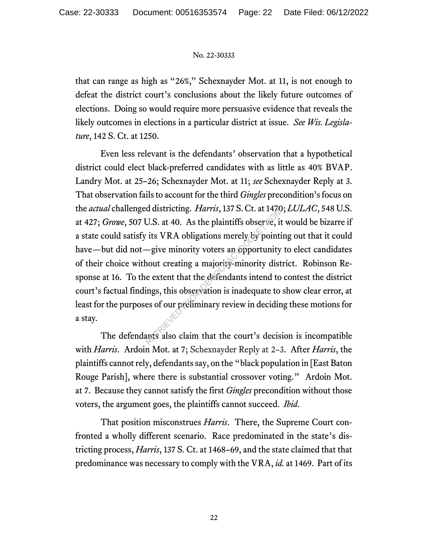that can range as high as "26%," Schexnayder Mot. at 11, is not enough to defeat the district court's conclusions about the likely future outcomes of elections. Doing so would require more persuasive evidence that reveals the likely outcomes in elections in a particular district at issue. *See Wis. Legislature*, 142 S. Ct. at 1250.

Even less relevant is the defendants' observation that a hypothetical district could elect black-preferred candidates with as little as 40% BVAP. Landry Mot. at 25–26; Schexnayder Mot. at 11; *see* Schexnayder Reply at 3. That observation fails to account for the third *Gingles* precondition's focus on the *actual* challenged districting. *Harris*, 137 S. Ct. at 1470; *LULAC*, 548 U.S. at 427; *Growe*, 507 U.S. at 40. As the plaintiffs observe, it would be bizarre if a state could satisfy its VRA obligations merely by pointing out that it could have—but did not—give minority voters an opportunity to elect candidates of their choice without creating a majority-minority district. Robinson Response at 16. To the extent that the defendants intend to contest the district court's factual findings, this observation is inadequate to show clear error, at least for the purposes of our preliminary review in deciding these motions for a stay. d districting. *Harris*, 157 S. Ct. at 1470<br>U.S. at 40. As the plaintiffs observe, it<br>its VRA obligations merely by pointi<br>—give minority voters an opportunity<br>nout creating a majority-minority dist<br>e extent that the defen

The defendants also claim that the court's decision is incompatible with *Harris*. Ardoin Mot. at 7; Schexnayder Reply at 2–3. After *Harris*, the plaintiffs cannot rely, defendantssay, on the "black population in [East Baton Rouge Parish], where there is substantial crossover voting." Ardoin Mot. at 7. Because they cannot satisfy the first *Gingles* precondition without those voters, the argument goes, the plaintiffs cannot succeed. *Ibid*.

That position misconstrues *Harris*. There, the Supreme Court confronted a wholly different scenario. Race predominated in the state's districting process, *Harris*, 137 S. Ct. at 1468–69, and the state claimed that that predominance was necessary to comply with the VRA, *id.* at 1469. Part of its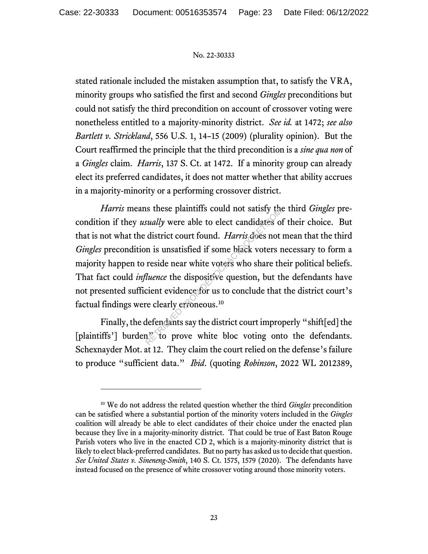stated rationale included the mistaken assumption that, to satisfy the VRA, minority groups who satisfied the first and second *Gingles* preconditions but could not satisfy the third precondition on account of crossover voting were nonetheless entitled to a majority-minority district. *See id.* at 1472; *see also Bartlett v. Strickland*, 556 U.S. 1, 14–15 (2009) (plurality opinion). But the Court reaffirmed the principle that the third precondition is a *sine qua non* of a *Gingles* claim. *Harris*, 137 S. Ct. at 1472. If a minority group can already elect its preferred candidates, it does not matter whether that ability accrues in a majority-minority or a performing crossover district.

*Harris* means these plaintiffs could not satisfy the third *Gingles* precondition if they *usually* were able to elect candidates of their choice. But that is not what the district court found. *Harris* does not mean that the third *Gingles* precondition is unsatisfied if some black voters necessary to form a majority happen to reside near white voters who share their political beliefs. That fact could *influence* the dispositive question, but the defendants have not presented sufficient evidence for us to conclude that the district court's factual findings were clearly erroneous.10 sually were able to elect candidates of district court found. *Harris* does not in is unsatisfied if some black voters reside near white voters who share the *dispositive* question, but the dispositive question, but the cl

Finally, the defendants say the district court improperly "shift[ed] the [plaintiffs'] burden" to prove white bloc voting onto the defendants. Schexnayder Mot. at 12. They claim the court relied on the defense's failure to produce "sufficient data." *Ibid*. (quoting *Robinson*, 2022 WL 2012389,

<sup>10</sup> We do not address the related question whether the third *Gingles* precondition can be satisfied where a substantial portion of the minority voters included in the *Gingles*  coalition will already be able to elect candidates of their choice under the enacted plan because they live in a majority-minority district. That could be true of East Baton Rouge Parish voters who live in the enacted CD 2, which is a majority-minority district that is likely to elect black-preferred candidates. But no party has asked us to decide that question. *See United States v. Sineneng-Smith*, 140 S. Ct. 1575, 1579 (2020). The defendants have instead focused on the presence of white crossover voting around those minority voters.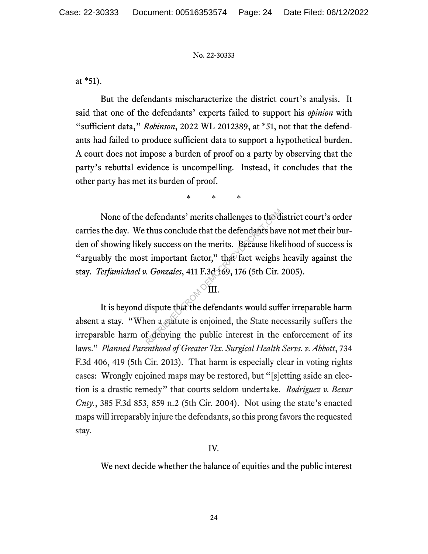at \*51).

But the defendants mischaracterize the district court's analysis. It said that one of the defendants' experts failed to support his *opinion* with "sufficient data," *Robinson*, 2022 WL 2012389, at \*51, not that the defendants had failed to produce sufficient data to support a hypothetical burden. A court does not impose a burden of proof on a party by observing that the party's rebuttal evidence is uncompelling. Instead, it concludes that the other party has met its burden of proof.

\* \* \*

None of the defendants' merits challenges to the district court's order carries the day. We thus conclude that the defendants have not met their burden of showing likely success on the merits. Because likelihood of success is "arguably the most important factor," that fact weighs heavily against the stay. *Tesfamichael v. Gonzales*, 411 F.3d 169, 176 (5th Cir. 2005). defendants' merits challenges to the d<br>thus conclude that the defendants have<br>ly success on the merits. Because like<br>t important factor," that fact weighs<br>example for the fact weight<br>on a stature is enjoined, the State nee

# **IIII**<sup>O</sup>

It is beyond dispute that the defendants would suffer irreparable harm absent a stay. "When a statute is enjoined, the State necessarily suffers the irreparable harm of denying the public interest in the enforcement of its laws." *Planned Parenthood of Greater Tex. Surgical Health Servs. v. Abbott*, 734 F.3d 406, 419 (5th Cir. 2013). That harm is especially clear in voting rights cases: Wrongly enjoined maps may be restored, but "[s]etting aside an election is a drastic remedy" that courts seldom undertake. *Rodriguez v. Bexar Cnty.*, 385 F.3d 853, 859 n.2 (5th Cir. 2004). Not using the state's enacted maps will irreparably injure the defendants, so this prong favors the requested stay.

# IV.

We next decide whether the balance of equities and the public interest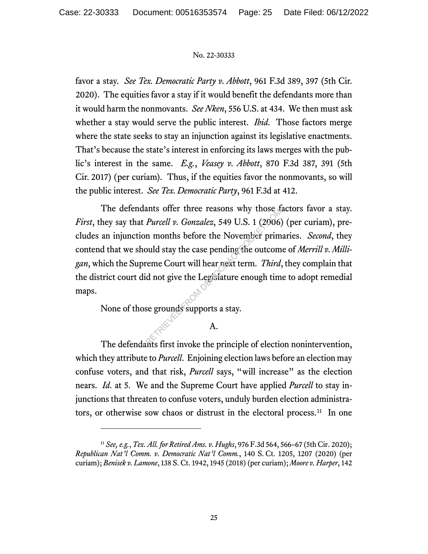favor a stay. *See Tex. Democratic Party v. Abbott*, 961 F.3d 389, 397 (5th Cir. 2020). The equities favor a stay if it would benefit the defendants more than it would harm the nonmovants. *See Nken*, 556 U.S. at 434. We then must ask whether a stay would serve the public interest. *Ibid.* Those factors merge where the state seeks to stay an injunction against its legislative enactments. That's because the state's interest in enforcing its laws merges with the public's interest in the same. *E.g.*, *Veasey v. Abbott*, 870 F.3d 387, 391 (5th Cir. 2017) (per curiam). Thus, if the equities favor the nonmovants, so will the public interest. *See Tex. Democratic Party*, 961 F.3d at 412.

The defendants offer three reasons why those factors favor a stay. *First*, they say that *Purcell v. Gonzalez*, 549 U.S. 1 (2006) (per curiam), precludes an injunction months before the November primaries. *Second*, they contend that we should stay the case pending the outcome of *Merrill v. Milligan*, which the Supreme Court will hear next term. *Third*, they complain that the district court did not give the Legislature enough time to adopt remedial maps. Purcell v. Gonzalez, 549 U.S. 1 (2006)<br>
n months before the November prim<br>
build stay the case pending the outcom<br>
reme Court will hear rext term. *Third*,<br>
id not give the Legislature enough tim<br>
se grounds supports a sta

None of those grounds supports a stay.

# A.

The defendants first invoke the principle of election nonintervention, which they attribute to *Purcell*. Enjoining election laws before an election may confuse voters, and that risk, *Purcell* says, "will increase" as the election nears. *Id.* at 5. We and the Supreme Court have applied *Purcell* to stay injunctions that threaten to confuse voters, unduly burden election administrators, or otherwise sow chaos or distrust in the electoral process.<sup>11</sup> In one

<sup>11</sup> *See, e.g.*, *Tex. All. for Retired Ams. v. Hughs*, 976 F.3d 564, 566–67 (5th Cir. 2020); *Republican Nat'l Comm. v. Democratic Nat'l Comm.*, 140 S. Ct. 1205, 1207 (2020) (per curiam); *Benisek v. Lamone*, 138 S. Ct. 1942, 1945 (2018) (per curiam); *Moore v. Harper*, 142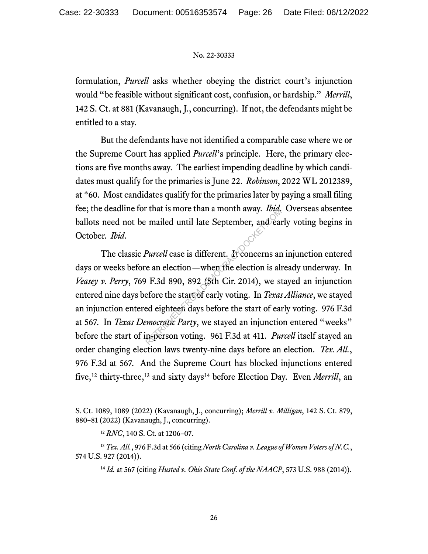formulation, *Purcell* asks whether obeying the district court's injunction would "be feasible without significant cost, confusion, or hardship." *Merrill*, 142 S. Ct. at 881 (Kavanaugh, J., concurring). If not, the defendants might be entitled to a stay.

But the defendants have not identified a comparable case where we or the Supreme Court has applied *Purcell*'s principle. Here, the primary elections are five months away. The earliest impending deadline by which candidates must qualify for the primaries is June 22. *Robinson*, 2022 WL 2012389, at \*60. Most candidates qualify for the primaries later by paying a small filing fee; the deadline for that is more than a month away. *Ibid.* Overseas absentee ballots need not be mailed until late September, and early voting begins in October. *Ibid.*

The classic *Purcell* case is different. It concerns an injunction entered days or weeks before an election—when the election is already underway. In *Veasey v. Perry*, 769 F.3d 890, 892 (5th Cir. 2014), we stayed an injunction entered nine days before the start of early voting. In *TexasAlliance*, we stayed an injunction entered eighteen days before the start of early voting. 976 F.3d at 567. In *Texas Democratic Party*, we stayed an injunction entered "weeks" before the start of in-person voting. 961 F.3d at 411. *Purcell* itself stayed an order changing election laws twenty-nine days before an election. *Tex. All.*, 976 F.3d at 567. And the Supreme Court has blocked injunctions entered five,<sup>12</sup> thirty-three,<sup>13</sup> and sixty days<sup>14</sup> before Election Day. Even *Merrill*, an refluential and a month away. *Ibia*, and early mailed until late September, and early mailed until late September, and early more an election — when the election is all F.3d 890, 892 (5th Cir. 2014), we staged eighteen da

S. Ct. 1089, 1089 (2022) (Kavanaugh, J., concurring); *Merrill v. Milligan*, 142 S. Ct. 879, 880–81 (2022) (Kavanaugh, J., concurring).

<sup>12</sup> *RNC*, 140 S. Ct. at 1206–07.

<sup>13</sup> *Tex. All.*, 976 F.3d at 566 (citing *North Carolina v. League of Women Voters of N.C.*, 574 U.S. 927 (2014)).

<sup>14</sup> *Id.* at 567 (citing *Husted v. Ohio State Conf. of the NAACP*, 573 U.S. 988 (2014)).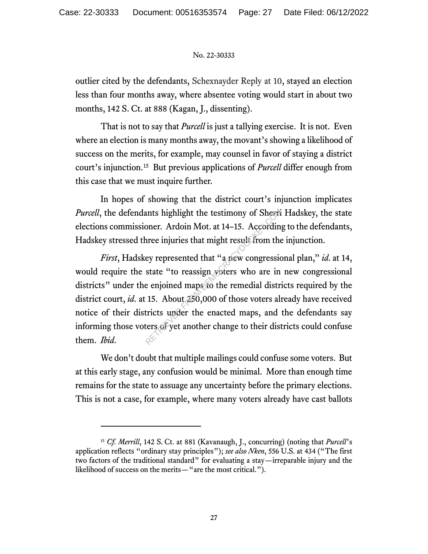outlier cited by the defendants, Schexnayder Reply at 10, stayed an election less than four months away, where absentee voting would start in about two months, 142 S. Ct. at 888 (Kagan, J., dissenting).

That is not to say that *Purcell* is just a tallying exercise. It is not. Even where an election is many months away, the movant's showing a likelihood of success on the merits, for example, may counsel in favor of staying a district court's injunction.15 But previous applications of *Purcell* differ enough from this case that we must inquire further.

In hopes of showing that the district court's injunction implicates *Purcell*, the defendants highlight the testimony of Sherri Hadskey, the state elections commissioner. Ardoin Mot. at 14–15. According to the defendants, Hadskey stressed three injuries that might result from the injunction.

*First*, Hadskey represented that "a new congressional plan," *id.* at 14, would require the state "to reassign voters who are in new congressional districts" under the enjoined maps to the remedial districts required by the district court, *id.* at 15. About 250,000 of those voters already have received notice of their districts under the enacted maps, and the defendants say informing those voters of yet another change to their districts could confuse them. *Ibid*. ants highlight the testimony of Sheren<br>oner. Ardoin Mot. at 14–15. According<br>inree injuries that might result from the<br>ey represented that "a new congressic<br>state "to reassign voters who are in<br>e enjoined maps to the remed

We don't doubt that multiple mailings could confuse some voters. But at this early stage, any confusion would be minimal. More than enough time remains for the state to assuage any uncertainty before the primary elections. This is not a case, for example, where many voters already have cast ballots

<sup>&</sup>lt;sup>15</sup> *Cf. Merrill*, 142 S. Ct. at 881 (Kavanaugh, J., concurring) (noting that *Purcell*'s application reflects "ordinary stay principles"); *see also Nken*, 556 U.S. at 434 ("The first two factors of the traditional standard" for evaluating a stay—irreparable injury and the likelihood of success on the merits—"are the most critical.").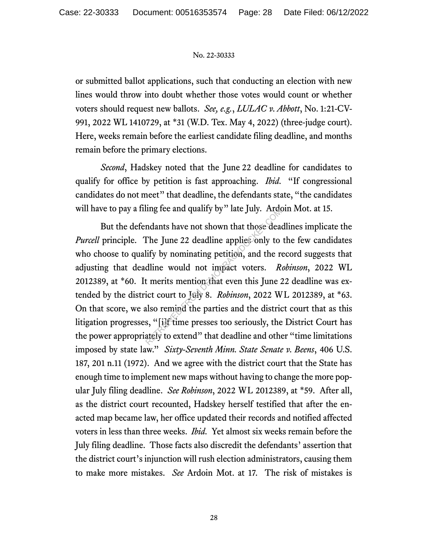or submitted ballot applications, such that conducting an election with new lines would throw into doubt whether those votes would count or whether voters should request new ballots. *See, e.g.*, *LULAC v. Abbott*, No. 1:21-CV-991, 2022 WL 1410729, at \*31 (W.D. Tex. May 4, 2022) (three-judge court). Here, weeks remain before the earliest candidate filing deadline, and months remain before the primary elections.

*Second*, Hadskey noted that the June 22 deadline for candidates to qualify for office by petition is fast approaching. *Ibid.* "If congressional candidates do not meet" that deadline, the defendants state, "the candidates will have to pay a filing fee and qualify by" late July. Ardoin Mot. at 15.

But the defendants have not shown that those deadlines implicate the *Purcell* principle. The June 22 deadline applies only to the few candidates who choose to qualify by nominating petition, and the record suggests that adjusting that deadline would not impact voters. *Robinson*, 2022 WL 2012389, at \*60. It merits mention that even this June 22 deadline was extended by the district court to July 8. *Robinson*, 2022 WL 2012389, at \*63. On that score, we also remind the parties and the district court that as this litigation progresses, "[i]f time presses too seriously, the District Court has the power appropriately to extend" that deadline and other "time limitations imposed by state law." *Sixty-Seventh Minn. State Senate v. Beens*, 406 U.S. 187, 201 n.11 (1972). And we agree with the district court that the State has enough time to implement new maps without having to change the more popular July filing deadline. *See Robinson*, 2022 WL 2012389, at \*59. After all, as the district court recounted, Hadskey herself testified that after the enacted map became law, her office updated their records and notified affected voters in less than three weeks. *Ibid.* Yet almost six weeks remain before the July filing deadline. Those facts also discredit the defendants' assertion that the district court's injunction will rush election administrators, causing them to make more mistakes. *See* Ardoin Mot. at 17. The risk of mistakes is In the June 22 deadline applies only. All and that those dear<br>The June 22 deadline applies only to<br>lify by nominating petition, and the r<br>dline would not impact voters. R<br>t merits mention that even this June 2<br>ict court to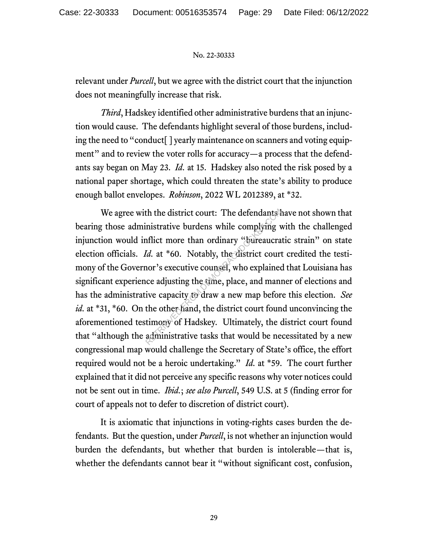relevant under *Purcell*, but we agree with the district court that the injunction does not meaningfully increase that risk.

*Third*, Hadskey identified other administrative burdens that an injunction would cause. The defendants highlight several of those burdens, including the need to "conduct[ ] yearly maintenance on scanners and voting equipment" and to review the voter rolls for accuracy—a process that the defendants say began on May 23. *Id.* at 15. Hadskey also noted the risk posed by a national paper shortage, which could threaten the state's ability to produce enough ballot envelopes. *Robinson*, 2022 WL 2012389, at \*32.

We agree with the district court: The defendants have not shown that bearing those administrative burdens while complying with the challenged injunction would inflict more than ordinary "bureaucratic strain" on state election officials. *Id.* at \*60. Notably, the district court credited the testimony of the Governor's executive counsel, who explained that Louisiana has significant experience adjusting the time, place, and manner of elections and has the administrative capacity to draw a new map before this election. *See id.* at \*31, \*60. On the other hand, the district court found unconvincing the aforementioned testimony of Hadskey. Ultimately, the district court found that "although the administrative tasks that would be necessitated by a new congressional map would challenge the Secretary of State's office, the effort required would not be a heroic undertaking." *Id.* at \*59. The court further explained that it did not perceive any specific reasons why voter notices could not be sent out in time. *Ibid.*; *see also Purcell*, 549 U.S. at 5 (finding error for court of appeals not to defer to discretion of district court). th the district court: The defendants in<br>inistrative burdens while complying v<br>nflict more than ordinary "bureaucra<br>*Id.* at \*60. Notably, the district court<br>nor's executive counsel, who explained<br>increacy who explained<br>ce

It is axiomatic that injunctions in voting-rights cases burden the defendants. But the question, under *Purcell*, is not whether an injunction would burden the defendants, but whether that burden is intolerable—that is, whether the defendants cannot bear it "without significant cost, confusion,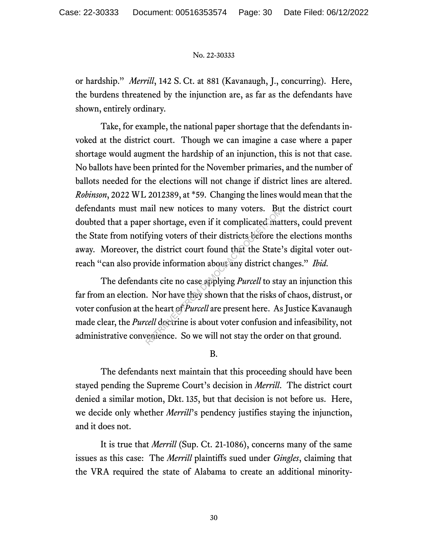or hardship." *Merrill*, 142 S. Ct. at 881 (Kavanaugh, J., concurring). Here, the burdens threatened by the injunction are, as far as the defendants have shown, entirely ordinary.

Take, for example, the national paper shortage that the defendants invoked at the district court. Though we can imagine a case where a paper shortage would augment the hardship of an injunction, this is not that case. No ballots have been printed for the November primaries, and the number of ballots needed for the elections will not change if district lines are altered. *Robinson*, 2022 WL 2012389, at \*59. Changing the lines would mean that the defendants must mail new notices to many voters. But the district court doubted that a paper shortage, even if it complicated matters, could prevent the State from notifying voters of their districts before the elections months away. Moreover, the district court found that the State's digital voter outreach "can also provide information about any district changes." *Ibid.*

The defendants cite no case applying *Purcell* to stay an injunction this far from an election. Nor have they shown that the risks of chaos, distrust, or voter confusion at the heart of *Purcell* are present here. As Justice Kavanaugh made clear, the *Purcell* doctrine is about voter confusion and infeasibility, not administrative convenience. So we will not stay the order on that ground. and hew hottees to many voters. But<br>er shortage, even if it complicated mat<br>fying voters of their districts before the<br>he district court found that the State<br>vide information about any district chents<br>cite no case applying

#### B.

The defendants next maintain that this proceeding should have been stayed pending the Supreme Court's decision in *Merrill*. The district court denied a similar motion, Dkt. 135, but that decision is not before us. Here, we decide only whether *Merrill*'s pendency justifies staying the injunction, and it does not.

It is true that *Merrill* (Sup. Ct. 21-1086), concerns many of the same issues as this case: The *Merrill* plaintiffs sued under *Gingles*, claiming that the VRA required the state of Alabama to create an additional minority-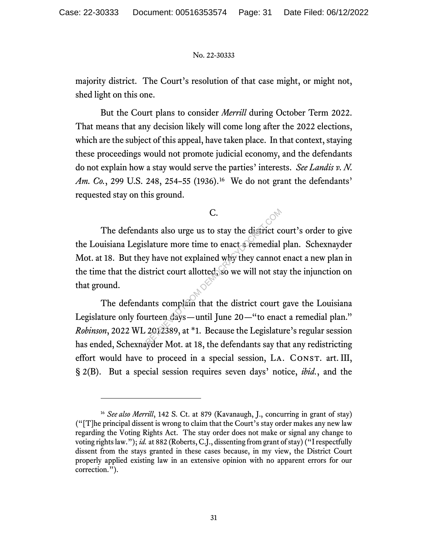majority district. The Court's resolution of that case might, or might not, shed light on this one.

But the Court plans to consider *Merrill* during October Term 2022. That means that any decision likely will come long after the 2022 elections, which are the subject of this appeal, have taken place. In that context, staying these proceedings would not promote judicial economy, and the defendants do not explain how a stay would serve the parties' interests. *See Landis v. N. Am. Co.*, 299 U.S. 248, 254–55 (1936).<sup>16</sup> We do not grant the defendants' requested stay on this ground.

C.

The defendants also urge us to stay the district court's order to give the Louisiana Legislature more time to enact a remedial plan. Schexnayder Mot. at 18. But they have not explained why they cannot enact a new plan in the time that the district court allotted, so we will not stay the injunction on that ground. C.<br>
unts also urge us to stay the district collature more time to enact a remedial<br>
y have not explained why they cannot<br>
strict court allotted, so we will not sta<br>
ants complain that the district court<br>
urteen days—until

The defendants complain that the district court gave the Louisiana Legislature only fourteen days—until June 20—"to enact a remedial plan." *Robinson*, 2022 WL 2012389, at \*1. Because the Legislature's regular session has ended, Schexnayder Mot. at 18, the defendants say that any redistricting effort would have to proceed in a special session, LA. CONST. art. III, § 2(B). But a special session requires seven days' notice, *ibid.*, and the

<sup>16</sup> *See also Merrill*, 142 S. Ct. at 879 (Kavanaugh, J., concurring in grant of stay) ("[T]he principal dissent is wrong to claim that the Court's stay order makes any new law regarding the Voting Rights Act. The stay order does not make or signal any change to voting rights law."); *id.* at 882 (Roberts, C.J., dissenting from grant of stay) ("I respectfully dissent from the stays granted in these cases because, in my view, the District Court properly applied existing law in an extensive opinion with no apparent errors for our correction.").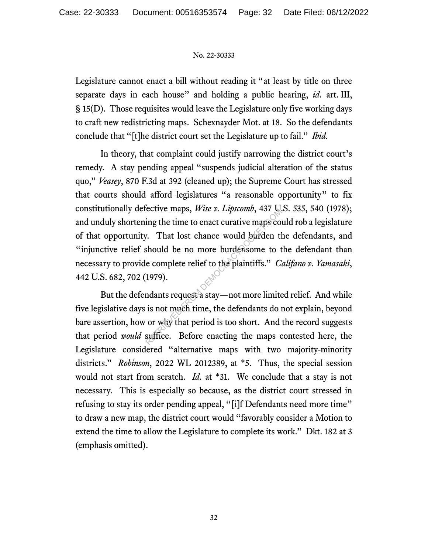Legislature cannot enact a bill without reading it "at least by title on three separate days in each house" and holding a public hearing, *id.* art. III, § 15(D). Those requisites would leave the Legislature only five working days to craft new redistricting maps. Schexnayder Mot. at 18. So the defendants conclude that "[t]he district court set the Legislature up to fail." *Ibid.*

In theory, that complaint could justify narrowing the district court's remedy. A stay pending appeal "suspends judicial alteration of the status quo," *Veasey*, 870 F.3d at 392 (cleaned up); the Supreme Court has stressed that courts should afford legislatures "a reasonable opportunity" to fix constitutionally defective maps, *Wise v. Lipscomb*, 437 U.S. 535, 540 (1978); and unduly shortening the time to enact curative maps could rob a legislature of that opportunity. That lost chance would burden the defendants, and "injunctive relief should be no more burdensome to the defendant than necessary to provide complete relief to the plaintiffs." *Califano v. Yamasaki*, 442 U.S. 682, 702 (1979). ective maps, *wise v. Lipstomo*, 437 eg.<br>ing the time to enact curative maps co<br>7. That lost chance would burden the<br>should be no more burdensome to the<br>ecomplete relief to the plaintiffs." *C*.<br>1979).<br>mdants request a sta

But the defendants request a stay—not more limited relief. And while five legislative days is not much time, the defendants do not explain, beyond bare assertion, how or why that period is too short. And the record suggests that period *would* suffice. Before enacting the maps contested here, the Legislature considered "alternative maps with two majority-minority districts." *Robinson*, 2022 WL 2012389, at \*5. Thus, the special session would not start from scratch. *Id.* at \*31. We conclude that a stay is not necessary. This is especially so because, as the district court stressed in refusing to stay its order pending appeal, "[i]f Defendants need more time" to draw a new map, the district court would "favorably consider a Motion to extend the time to allow the Legislature to complete its work." Dkt. 182 at 3 (emphasis omitted).